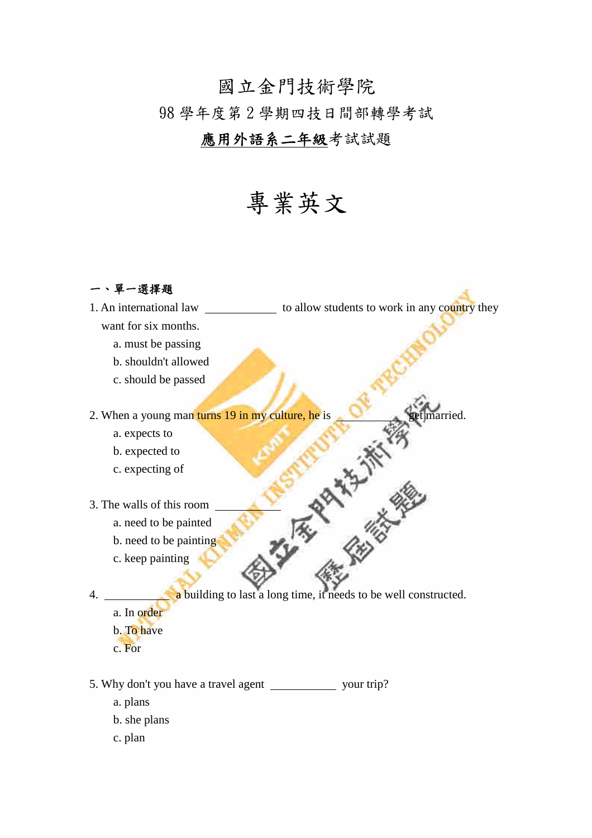## 國立金門技術學院 98 學年度第 2 學期四技日間部轉學考試

## 應用外語系二年級考試試題

## 專業英文

一、單一選擇題

1. An international law \_\_\_\_\_\_\_\_\_\_\_\_\_\_ to allow students to work in any country they want for six months.

- a. must be passing
- b. shouldn't allowed
- c. should be passed

2. When a young man turns 19 in my culture, he is get married.<br>
a. expects to<br>
b. expected to<br>
c. expecting of<br>
3. The walls of this room<br>
a. need to be painting<br>
b. need to be painting<br>
c. keep painting<br>
4.

- a. expects to
- b. expected to
- c. expecting of
- 3. The walls of this room
	- a. need to be painted
	- b. need to be painting
	- c. keep painting

4. a building to last a long time, it needs to be well constructed.

- a. In order
- b. To have
- c. For
- 5. Why don't you have a travel agent \_\_\_\_\_\_\_\_\_\_\_\_\_\_ your trip?
	- a. plans
	- b. she plans
	- c. plan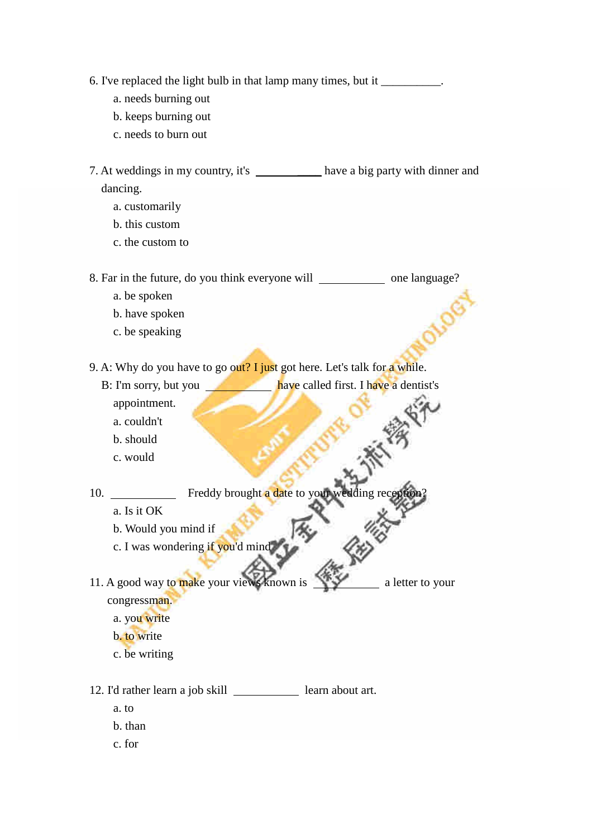- 6. I've replaced the light bulb in that lamp many times, but it \_\_\_\_\_\_\_\_\_\_.
	- a. needs burning out
	- b. keeps burning out
	- c. needs to burn out
- 7. At weddings in my country, it's \_\_\_\_\_\_\_\_ have a big party with dinner and dancing.
	- a. customarily
	- b. this custom
	- c. the custom to

8. Far in the future, do you think everyone will one language?

- a. be spoken
- b. have spoken
- c. be speaking

9. A: Why do you have to go out? I just got here. Let's talk for a while.

- B: I'm sorry, but you have called first. I have a dentist's appointment.
	- a. couldn't
	- b. should
	- c. would

10. Freddy brought a date to your wedding reception.

- a. Is it OK
- b. Would you mind if
- c. I was wondering if you'd mind

11. A good way to make your views known is a letter to your congressman.

- a. you write
- b. to write
- c. be writing

12. I'd rather learn a job skill \_\_\_\_\_\_\_\_\_\_\_\_ learn about art.

- a. to
- b. than
- c. for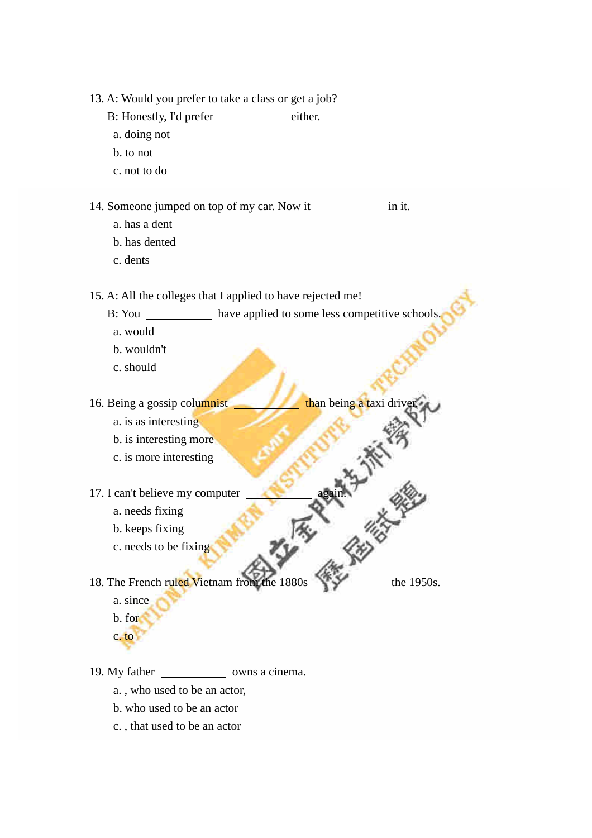13. A: Would you prefer to take a class or get a job?

- B: Honestly, I'd prefer either.
- a. doing not
- b. to not
- c. not to do

14. Someone jumped on top of my car. Now it \_\_\_\_\_\_\_\_\_\_\_\_\_ in it.

- a. has a dent
- b. has dented
- c. dents

15. A: All the colleges that I applied to have rejected me!

B: You have applied to some less competitive schools

**ANTISKA** 

- a. would
- b. wouldn't
- c. should

16. Being a gossip columnist than being a taxi drive

- a. is as interesting
- b. is interesting more
- c. is more interesting
- - a. needs fixing
	- b. keeps fixing
	- c. needs to be fixing

17. I can't believe my computer<br>
a. needs fixing<br>
b. keeps fixing<br>
c. needs to be fixing<br>
18. The Fr 18. The French ruled Vietnam from the 1880s the 1950s.

- a. since
- b. for
- c. to

19. My father owns a cinema.

- a. , who used to be an actor,
- b. who used to be an actor
- c. , that used to be an actor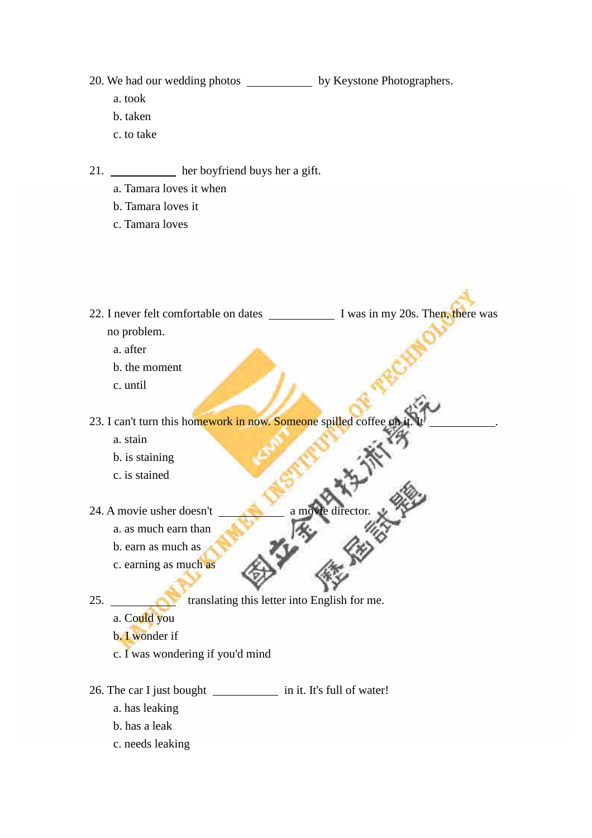20. We had our wedding photos \_\_\_\_\_\_\_\_\_\_\_\_\_ by Keystone Photographers.

- a. took
- b. taken
- c. to take
- 21. her boyfriend buys her a gift.
	- a. Tamara loves it when
	- b. Tamara loves it
	- c. Tamara loves
- 22. I never felt comfortable on dates I was in my 20s. Then, there was no problem.
	- a. after
	- b. the moment
	- c. until

23. I can't turn this homework in now. Someone spilled coffee on

- a. stain
- b. is staining
- c. is stained
- C. is stained<br>24. A movie usher doesn't a movie director.
	- a. as much earn than
	- b. earn as much as
	- c. earning as much as
- 

25. **translating this letter into English for me.** 

- a. Could you
- b. I wonder if
- c. I was wondering if you'd mind
- 26. The car I just bought in it. It's full of water!
	- a. has leaking
	- b. has a leak
	- c. needs leaking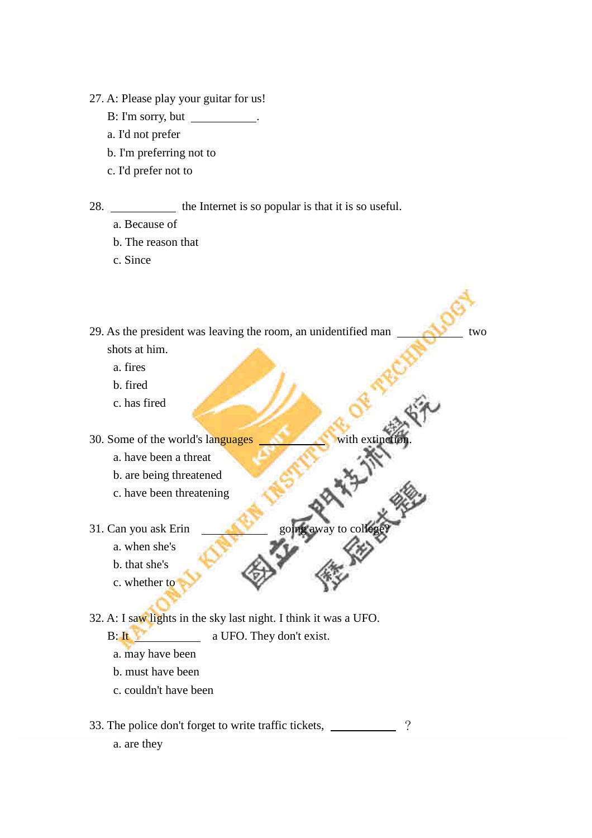- 27. A: Please play your guitar for us!
	- B: I'm sorry, but .
	- a. I'd not prefer
	- b. I'm preferring not to
	- c. I'd prefer not to

28. the Internet is so popular is that it is so useful.

- a. Because of
- b. The reason that
- c. Since

29. As the president was leaving the room, an unidentified man two shots at him.

**THE REAL** 

- a. fires
- b. fired
- c. has fired

30. Some of the world's languages

- a. have been a threat
- b. are being threatened
- c. have been threatening
- 31. Can you ask Erin
	- a. when she's
	- b. that she's
	- c. whether to

32. A: I saw lights in the sky last night. I think it was a UFO.

B: It a UFO. They don't exist.

- a. may have been
- b. must have been
- c. couldn't have been
- 33. The police don't forget to write traffic tickets, 2
	- a. are they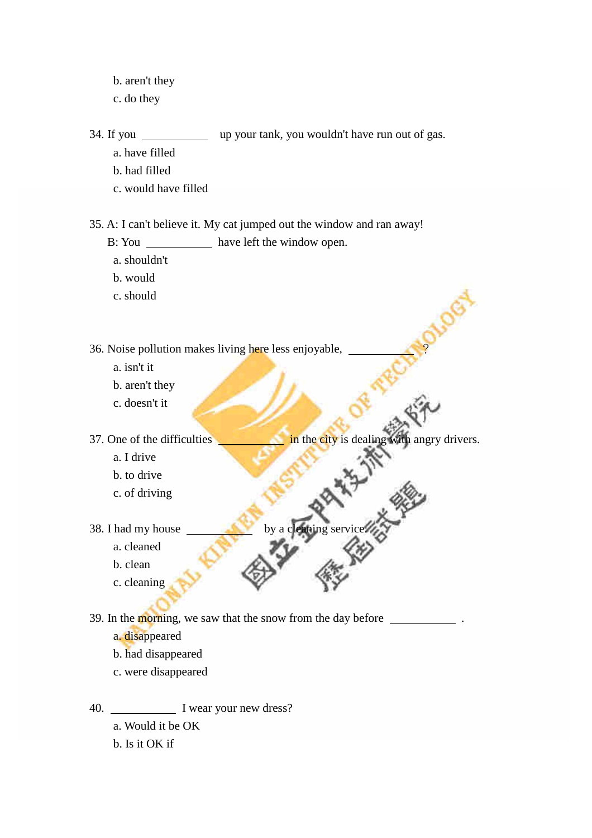- b. aren't they
- c. do they

34. If you \_\_\_\_\_\_\_\_\_\_\_\_ up your tank, you wouldn't have run out of gas.

- a. have filled
- b. had filled
- c. would have filled

35. A: I can't believe it. My cat jumped out the window and ran away!

- B: You \_\_\_\_\_\_\_\_\_\_\_\_\_ have left the window open.
- a. shouldn't
- b. would
- c. should

36. Noise pollution makes living here less enjoyable, ?

- a. isn't it
- b. aren't they
- c. doesn't it

37. One of the difficulties in the city is dealing with angry drivers.

- a. I drive
- b. to drive
- c. of driving
- 38. I had my house
	- a. cleaned
	- b. clean
	- c. cleaning

39. In the morning, we saw that the snow from the day before \_\_\_\_\_\_\_\_\_\_\_\_\_\_\_\_\_\_\_\_

- a. disappeared
- b. had disappeared
- c. were disappeared

40. I wear your new dress?

- a. Would it be OK
- b. Is it OK if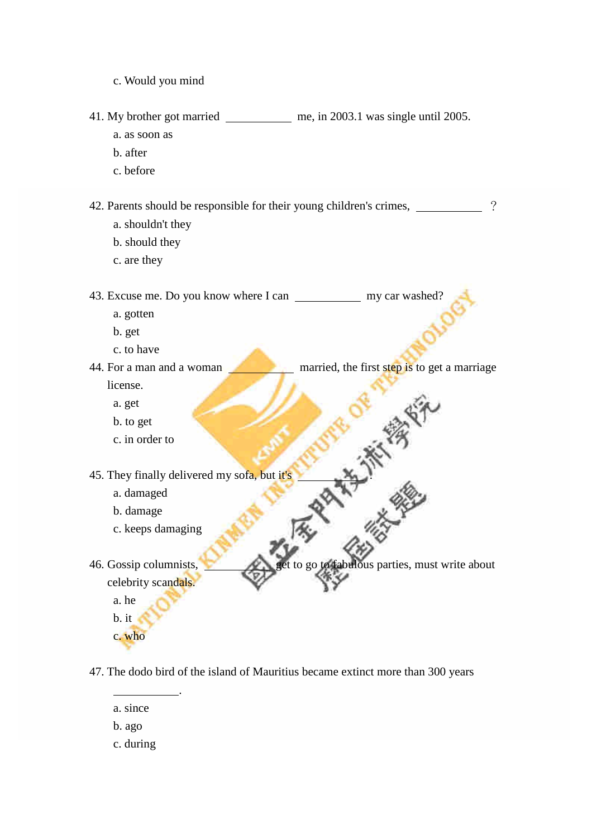c. Would you mind

41. My brother got married me, in 2003.1 was single until 2005.

- a. as soon as
- b. after
- c. before

42. Parents should be responsible for their young children's crimes,  $\frac{1}{2}$ ?

- a. shouldn't they
- b. should they
- c. are they

43. Excuse me. Do you know where I can \_\_\_\_\_\_\_\_\_\_\_\_\_ my car washed?

- a. gotten
- b. get
- c. to have
- 44. For a man and a woman married, the first step is to get a marriage license.
	- a. get
	- b. to get
	- c. in order to

45. They finally delivered my sofa, but it's a little which we can also a damaged b. damage c. keeps damaging

.

- a. damaged
- b. damage
- c. keeps damaging

46. Gossip columnists,  $\sim$  get to go to fabulous parties, must write about celebrity scandals.

a. he b. it

c. who

47. The dodo bird of the island of Mauritius became extinct more than 300 years

- a. since
- b. ago
- c. during